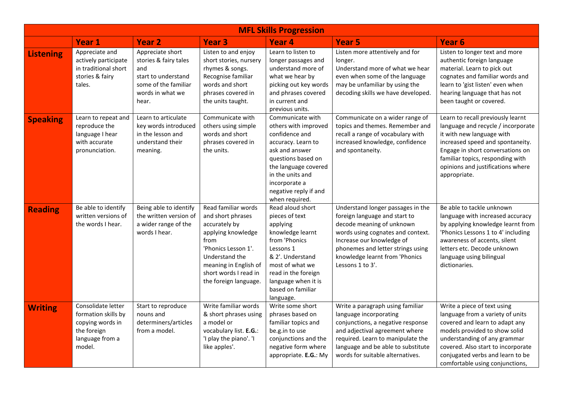| <b>MFL Skills Progression</b> |                                                                                                           |                                                                                                                              |                                                                                                                                                                                                             |                                                                                                                                                                                                                                  |                                                                                                                                                                                                                                                              |                                                                                                                                                                                                                                                                                 |  |  |
|-------------------------------|-----------------------------------------------------------------------------------------------------------|------------------------------------------------------------------------------------------------------------------------------|-------------------------------------------------------------------------------------------------------------------------------------------------------------------------------------------------------------|----------------------------------------------------------------------------------------------------------------------------------------------------------------------------------------------------------------------------------|--------------------------------------------------------------------------------------------------------------------------------------------------------------------------------------------------------------------------------------------------------------|---------------------------------------------------------------------------------------------------------------------------------------------------------------------------------------------------------------------------------------------------------------------------------|--|--|
|                               | <b>Year 1</b>                                                                                             | <b>Year 2</b>                                                                                                                | <b>Year 3</b>                                                                                                                                                                                               | <b>Year 4</b>                                                                                                                                                                                                                    | <b>Year 5</b>                                                                                                                                                                                                                                                | Year <sub>6</sub>                                                                                                                                                                                                                                                               |  |  |
| <b>Listening</b>              | Appreciate and<br>actively participate<br>in traditional short<br>stories & fairy<br>tales.               | Appreciate short<br>stories & fairy tales<br>and<br>start to understand<br>some of the familiar<br>words in what we<br>hear. | Listen to and enjoy<br>short stories, nursery<br>rhymes & songs.<br>Recognise familiar<br>words and short<br>phrases covered in<br>the units taught.                                                        | Learn to listen to<br>longer passages and<br>understand more of<br>what we hear by<br>picking out key words<br>and phrases covered<br>in current and<br>previous units.                                                          | Listen more attentively and for<br>longer.<br>Understand more of what we hear<br>even when some of the language<br>may be unfamiliar by using the<br>decoding skills we have developed.                                                                      | Listen to longer text and more<br>authentic foreign language<br>material. Learn to pick out<br>cognates and familiar words and<br>learn to 'gist listen' even when<br>hearing language that has not<br>been taught or covered.                                                  |  |  |
| <b>Speaking</b>               | Learn to repeat and<br>reproduce the<br>language I hear<br>with accurate<br>pronunciation.                | Learn to articulate<br>key words introduced<br>in the lesson and<br>understand their<br>meaning.                             | Communicate with<br>others using simple<br>words and short<br>phrases covered in<br>the units.                                                                                                              | Communicate with<br>others with improved<br>confidence and<br>accuracy. Learn to<br>ask and answer<br>questions based on<br>the language covered<br>in the units and<br>incorporate a<br>negative reply if and<br>when required. | Communicate on a wider range of<br>topics and themes. Remember and<br>recall a range of vocabulary with<br>increased knowledge, confidence<br>and spontaneity.                                                                                               | Learn to recall previously learnt<br>language and recycle / incorporate<br>it with new language with<br>increased speed and spontaneity.<br>Engage in short conversations on<br>familiar topics, responding with<br>opinions and justifications where<br>appropriate.           |  |  |
| <b>Reading</b>                | Be able to identify<br>written versions of<br>the words I hear.                                           | Being able to identify<br>the written version of<br>a wider range of the<br>words I hear.                                    | Read familiar words<br>and short phrases<br>accurately by<br>applying knowledge<br>from<br>'Phonics Lesson 1'.<br>Understand the<br>meaning in English of<br>short words I read in<br>the foreign language. | Read aloud short<br>pieces of text<br>applying<br>knowledge learnt<br>from 'Phonics<br>Lessons 1<br>& 2'. Understand<br>most of what we<br>read in the foreign<br>language when it is<br>based on familiar<br>language.          | Understand longer passages in the<br>foreign language and start to<br>decode meaning of unknown<br>words using cognates and context.<br>Increase our knowledge of<br>phonemes and letter strings using<br>knowledge learnt from 'Phonics<br>Lessons 1 to 3'. | Be able to tackle unknown<br>language with increased accuracy<br>by applying knowledge learnt from<br>'Phonics Lessons 1 to 4' including<br>awareness of accents, silent<br>letters etc. Decode unknown<br>language using bilingual<br>dictionaries.                            |  |  |
| <b>Writing</b>                | Consolidate letter<br>formation skills by<br>copying words in<br>the foreign<br>language from a<br>model. | Start to reproduce<br>nouns and<br>determiners/articles<br>from a model.                                                     | Write familiar words<br>& short phrases using<br>a model or<br>vocabulary list. E.G.:<br>'I play the piano'. 'I<br>like apples'.                                                                            | Write some short<br>phrases based on<br>familiar topics and<br>be.g.in to use<br>conjunctions and the<br>negative form where<br>appropriate. E.G.: My                                                                            | Write a paragraph using familiar<br>language incorporating<br>conjunctions, a negative response<br>and adjectival agreement where<br>required. Learn to manipulate the<br>language and be able to substitute<br>words for suitable alternatives.             | Write a piece of text using<br>language from a variety of units<br>covered and learn to adapt any<br>models provided to show solid<br>understanding of any grammar<br>covered. Also start to incorporate<br>conjugated verbs and learn to be<br>comfortable using conjunctions, |  |  |